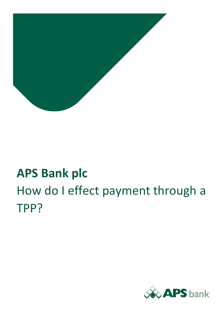

# **APS Bank plc** How do I effect payment through a TPP?

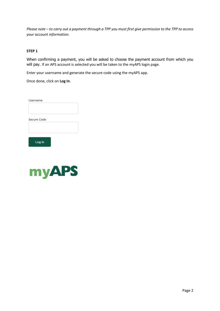*Please note – to carry out a payment through a TPP you must first give permission to the TPP to access your account information.*

## **STEP 1**

When confirming a payment, you will be asked to choose the payment account from which you will pay. If an APS account is selected you will be taken to the myAPS login page.

Enter your username and generate the secure code using the myAPS app.

Once done, click on **Log In**.

| Username           |  |  |
|--------------------|--|--|
|                    |  |  |
|                    |  |  |
|                    |  |  |
| <b>Secure Code</b> |  |  |
|                    |  |  |

Log In

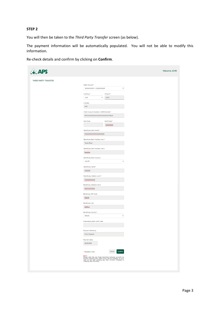#### **STEP 2**

You will then be taken to the *Third Party Transfer* screen (as below).

The payment information will be automatically populated. You will not be able to modify this information.

Re-check details and confirm by clicking on **Confirm**.

| <b>DS</b>            |                                                                                                                                                                                                                             |              |                           | Welcome JOHN |
|----------------------|-----------------------------------------------------------------------------------------------------------------------------------------------------------------------------------------------------------------------------|--------------|---------------------------|--------------|
| THIRD PARTY TRANSFER |                                                                                                                                                                                                                             |              |                           |              |
|                      | Debit Account:*                                                                                                                                                                                                             |              |                           |              |
|                      | 30XXXXXXXII - 5,000.00 EUR                                                                                                                                                                                                  |              | $\boldsymbol{\mathrm{v}}$ |              |
|                      |                                                                                                                                                                                                                             |              |                           |              |
|                      | Currency:*                                                                                                                                                                                                                  | Amount:*     |                           |              |
|                      | EUR<br>$\boldsymbol{\mathrm{v}}$                                                                                                                                                                                            | 2000         |                           |              |
|                      |                                                                                                                                                                                                                             |              |                           |              |
|                      | Charges:                                                                                                                                                                                                                    |              |                           |              |
|                      | SHA                                                                                                                                                                                                                         |              |                           |              |
|                      |                                                                                                                                                                                                                             |              |                           |              |
|                      | Credit Account Number or IBAN Number.*                                                                                                                                                                                      |              |                           |              |
|                      | MT63XXXXXXXXXXXXXXXXXXXXXXI9626                                                                                                                                                                                             |              |                           |              |
|                      |                                                                                                                                                                                                                             |              |                           |              |
|                      | Sort Code:                                                                                                                                                                                                                  | Swift Code:* |                           |              |
|                      |                                                                                                                                                                                                                             | XXXXXXXX     |                           |              |
|                      |                                                                                                                                                                                                                             |              |                           |              |
|                      | Beneficiary Bank Name:*                                                                                                                                                                                                     |              |                           |              |
|                      | XXXXXXXXXXXXXXXXXXXXXX                                                                                                                                                                                                      |              |                           |              |
|                      |                                                                                                                                                                                                                             |              |                           |              |
|                      | Beneficiary Bank Address Line 1:*                                                                                                                                                                                           |              |                           |              |
|                      | <b>Tower Road</b>                                                                                                                                                                                                           |              |                           |              |
|                      |                                                                                                                                                                                                                             |              |                           |              |
|                      | Beneficiary Bank Address Line 2:                                                                                                                                                                                            |              |                           |              |
|                      | Bugibba                                                                                                                                                                                                                     |              |                           |              |
|                      | Beneficiary Bank Country:*                                                                                                                                                                                                  |              |                           |              |
|                      | <b>MALTA</b>                                                                                                                                                                                                                |              | $\boldsymbol{\mathrm{v}}$ |              |
|                      |                                                                                                                                                                                                                             |              |                           |              |
|                      | Beneficiary Name:*                                                                                                                                                                                                          |              |                           |              |
|                      | XXXXXX                                                                                                                                                                                                                      |              |                           |              |
|                      |                                                                                                                                                                                                                             |              |                           |              |
|                      | Beneficiary Address Line 1:*                                                                                                                                                                                                |              |                           |              |
|                      | XXXXXXXXXXX                                                                                                                                                                                                                 |              |                           |              |
|                      |                                                                                                                                                                                                                             |              |                           |              |
|                      | Beneficiary Address Line 2:                                                                                                                                                                                                 |              |                           |              |
|                      | XXXXXXXXXXX                                                                                                                                                                                                                 |              |                           |              |
|                      |                                                                                                                                                                                                                             |              |                           |              |
|                      | Beneficiary ZIP Code:                                                                                                                                                                                                       |              |                           |              |
|                      | ZBGIIII<br>Beneficiary City:                                                                                                                                                                                                |              |                           |              |
|                      |                                                                                                                                                                                                                             |              |                           |              |
|                      |                                                                                                                                                                                                                             |              |                           |              |
|                      | Zebbug                                                                                                                                                                                                                      |              |                           |              |
|                      | Beneficiary Country:*                                                                                                                                                                                                       |              |                           |              |
|                      | <b>MALTA</b>                                                                                                                                                                                                                |              | $\overline{\mathbf v}$    |              |
|                      |                                                                                                                                                                                                                             |              |                           |              |
|                      | Intermediary Bank Swift Code:                                                                                                                                                                                               |              |                           |              |
|                      |                                                                                                                                                                                                                             |              |                           |              |
|                      |                                                                                                                                                                                                                             |              |                           |              |
|                      | Payment Reference:                                                                                                                                                                                                          |              |                           |              |
|                      | PSD2 Payment                                                                                                                                                                                                                |              |                           |              |
|                      |                                                                                                                                                                                                                             |              |                           |              |
|                      | Payment Date:                                                                                                                                                                                                               |              |                           |              |
|                      | 09.09.2019                                                                                                                                                                                                                  |              |                           |              |
|                      |                                                                                                                                                                                                                             |              |                           |              |
|                      | * Mandatory field                                                                                                                                                                                                           | Cancel       | Confirm                   |              |
|                      |                                                                                                                                                                                                                             |              |                           |              |
|                      | Note!:<br>Please note that any funds transfered between accounts by<br>Internet Banking after office hours will be available on your<br>card on the next working day after 10:00hrs (Monday to<br>Saturday after 19:00hrs). |              |                           |              |
|                      |                                                                                                                                                                                                                             |              |                           |              |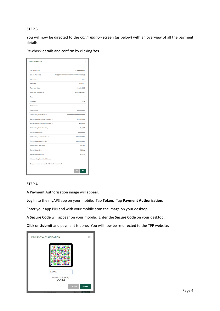### **STEP 3**

You will now be directed to the *Confirmation* screen (as below) with an overview of all the payment details.

Re-check details and confirm by clicking **Yes**.

| <b>CONFIRMATION</b>                           | ×                                |
|-----------------------------------------------|----------------------------------|
| Debit Account:                                | 30XXXXXXXII                      |
| Credit Account:                               | MT63XXXXXXXXXXXXXXXXXXXXXXX19626 |
| Currency:                                     | <b>EUR</b>                       |
| Amount:                                       | 2000.00                          |
| <b>Payment Date:</b>                          | 09.09.2019                       |
| Payment Reference:                            | PSD2 Payment                     |
| Fee:                                          | 1                                |
| Charges:                                      | <b>SHA</b>                       |
| Sort Code:                                    |                                  |
| Swift Code:                                   | <b>XXXXXXXX</b>                  |
| <b>Beneficiary Bank Name:</b>                 | XXXXXXXXXXXXXXXXXX               |
| Beneficiary Bank Address Line 1:              | <b>Tower Road</b>                |
| Beneficiary Bank Address Line 2:              | <b>Bugibba</b>                   |
| Beneficiary Bank Country:                     | <b>MALTA</b>                     |
| <b>Beneficiary Name:</b>                      | <b>XXXXXXX</b>                   |
| Beneficiary Address Line 1:                   | <b>XXXXXXXXX</b>                 |
| <b>Beneficiary Address Line 2:</b>            | <b>XXXXXXXXX</b>                 |
| <b>Beneficiary ZIP Code:</b>                  | ZBG1111                          |
| <b>Beneficiary City:</b>                      | Zebbug                           |
| <b>Beneficiary Country:</b>                   | <b>MALTA</b>                     |
| Intermediary Bank Swift Code:                 |                                  |
| Do you wish to proceed with this transaction? |                                  |
|                                               | No<br>Yes                        |

## **STEP 4**

A Payment Authorisation image will appear.

**Log in** to the myAPS app on your mobile. Tap **Token**. Tap **Payment Authorisation**.

Enter your app PIN and with your mobile scan the image on your desktop.

A **Secure Code** will appear on your mobile. Enter the **Secure Code** on your desktop.

Click on **Submit** and payment is done. You will now be re-directed to the TPP website.

| PAYMENT AUTHORISATION        | ×             |
|------------------------------|---------------|
|                              |               |
| <b>XXXXX</b>                 |               |
| Secure Code Expiry:<br>00:32 |               |
| Cancel                       | <b>Submit</b> |